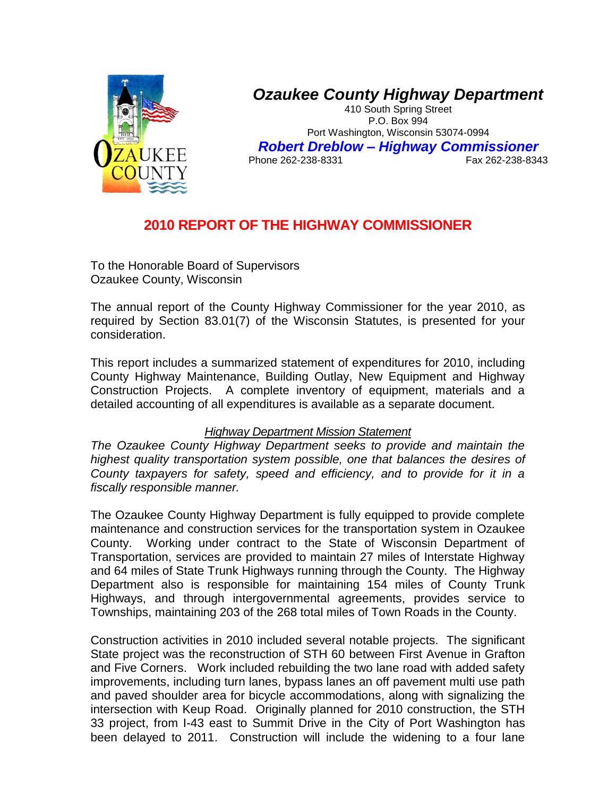

# *Ozaukee County Highway Department*

410 South Spring Street P.O. Box 994 Port Washington, Wisconsin 53074-0994 *Robert Dreblow – Highway Commissioner* Phone 262-238-8331

## **2010 REPORT OF THE HIGHWAY COMMISSIONER**

To the Honorable Board of Supervisors Ozaukee County, Wisconsin

The annual report of the County Highway Commissioner for the year 2010, as required by Section 83.01(7) of the Wisconsin Statutes, is presented for your consideration.

This report includes a summarized statement of expenditures for 2010, including County Highway Maintenance, Building Outlay, New Equipment and Highway Construction Projects. A complete inventory of equipment, materials and a detailed accounting of all expenditures is available as a separate document.

### *Highway Department Mission Statement*

*The Ozaukee County Highway Department seeks to provide and maintain the highest quality transportation system possible, one that balances the desires of County taxpayers for safety, speed and efficiency, and to provide for it in a fiscally responsible manner.* 

The Ozaukee County Highway Department is fully equipped to provide complete maintenance and construction services for the transportation system in Ozaukee County. Working under contract to the State of Wisconsin Department of Transportation, services are provided to maintain 27 miles of Interstate Highway and 64 miles of State Trunk Highways running through the County. The Highway Department also is responsible for maintaining 154 miles of County Trunk Highways, and through intergovernmental agreements, provides service to Townships, maintaining 203 of the 268 total miles of Town Roads in the County.

Construction activities in 2010 included several notable projects. The significant State project was the reconstruction of STH 60 between First Avenue in Grafton and Five Corners. Work included rebuilding the two lane road with added safety improvements, including turn lanes, bypass lanes an off pavement multi use path and paved shoulder area for bicycle accommodations, along with signalizing the intersection with Keup Road. Originally planned for 2010 construction, the STH 33 project, from I-43 east to Summit Drive in the City of Port Washington has been delayed to 2011. Construction will include the widening to a four lane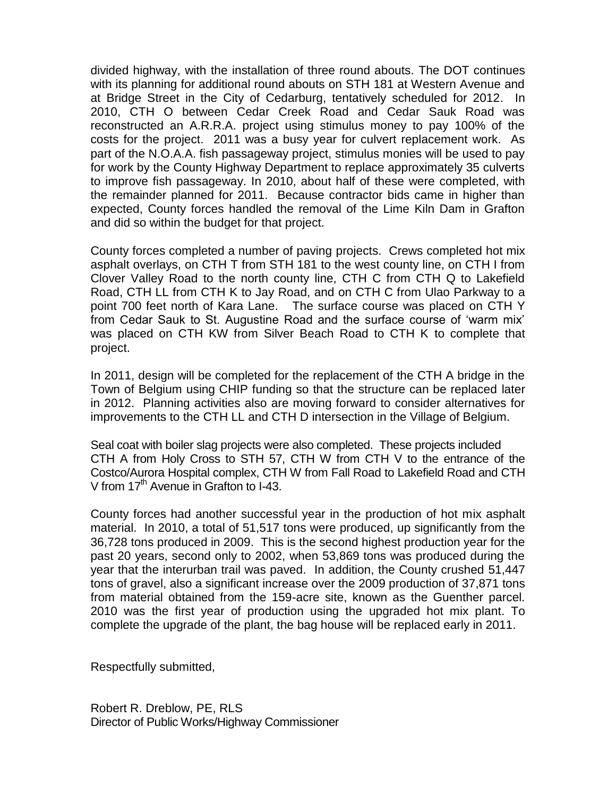divided highway, with the installation of three round abouts. The DOT continues with its planning for additional round abouts on STH 181 at Western Avenue and at Bridge Street in the City of Cedarburg, tentatively scheduled for 2012. In 2010, CTH O between Cedar Creek Road and Cedar Sauk Road was reconstructed an A.R.R.A. project using stimulus money to pay 100% of the costs for the project. 2011 was a busy year for culvert replacement work. As part of the N.O.A.A. fish passageway project, stimulus monies will be used to pay for work by the County Highway Department to replace approximately 35 culverts to improve fish passageway. In 2010, about half of these were completed, with the remainder planned for 2011. Because contractor bids came in higher than expected, County forces handled the removal of the Lime Kiln Dam in Grafton and did so within the budget for that project.

County forces completed a number of paving projects. Crews completed hot mix asphalt overlays, on CTH T from STH 181 to the west county line, on CTH I from Clover Valley Road to the north county line, CTH C from CTH Q to Lakefield Road, CTH LL from CTH K to Jay Road, and on CTH C from Ulao Parkway to a point 700 feet north of Kara Lane. The surface course was placed on CTH Y from Cedar Sauk to St. Augustine Road and the surface course of 'warm mix' was placed on CTH KW from Silver Beach Road to CTH K to complete that project.

In 2011, design will be completed for the replacement of the CTH A bridge in the Town of Belgium using CHIP funding so that the structure can be replaced later in 2012. Planning activities also are moving forward to consider alternatives for improvements to the CTH LL and CTH D intersection in the Village of Belgium.

Seal coat with boiler slag projects were also completed. These projects included CTH A from Holy Cross to STH 57, CTH W from CTH V to the entrance of the Costco/Aurora Hospital complex, CTH W from Fall Road to Lakefield Road and CTH V from 17<sup>th</sup> Avenue in Grafton to I-43.

County forces had another successful year in the production of hot mix asphalt material. In 2010, a total of 51,517 tons were produced, up significantly from the 36,728 tons produced in 2009. This is the second highest production year for the past 20 years, second only to 2002, when 53,869 tons was produced during the year that the interurban trail was paved. In addition, the County crushed 51,447 tons of gravel, also a significant increase over the 2009 production of 37,871 tons from material obtained from the 159-acre site, known as the Guenther parcel. 2010 was the first year of production using the upgraded hot mix plant. To complete the upgrade of the plant, the bag house will be replaced early in 2011.

Respectfully submitted,

Robert R. Dreblow, PE, RLS Director of Public Works/Highway Commissioner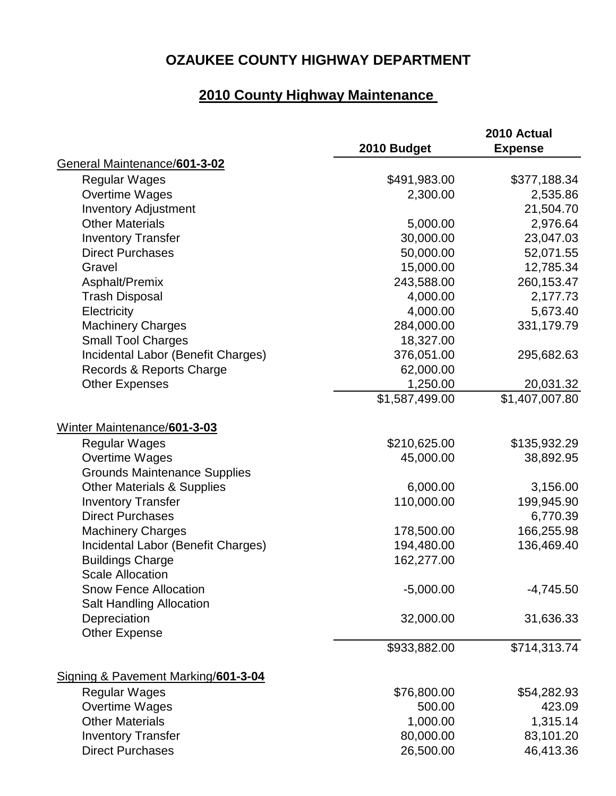# **OZAUKEE COUNTY HIGHWAY DEPARTMENT**

# **2010 County Highway Maintenance**

|                                                                 | 2010 Budget    | 2010 Actual<br><b>Expense</b> |
|-----------------------------------------------------------------|----------------|-------------------------------|
| General Maintenance/601-3-02                                    |                |                               |
| <b>Regular Wages</b>                                            | \$491,983.00   | \$377,188.34                  |
| <b>Overtime Wages</b>                                           | 2,300.00       | 2,535.86                      |
| <b>Inventory Adjustment</b>                                     |                | 21,504.70                     |
| <b>Other Materials</b>                                          | 5,000.00       | 2,976.64                      |
| <b>Inventory Transfer</b>                                       | 30,000.00      | 23,047.03                     |
| <b>Direct Purchases</b>                                         | 50,000.00      | 52,071.55                     |
| Gravel                                                          | 15,000.00      | 12,785.34                     |
| Asphalt/Premix                                                  | 243,588.00     | 260,153.47                    |
| <b>Trash Disposal</b>                                           | 4,000.00       | 2,177.73                      |
| Electricity                                                     | 4,000.00       | 5,673.40                      |
| <b>Machinery Charges</b>                                        | 284,000.00     | 331,179.79                    |
| <b>Small Tool Charges</b>                                       | 18,327.00      |                               |
| Incidental Labor (Benefit Charges)                              | 376,051.00     | 295,682.63                    |
| Records & Reports Charge                                        | 62,000.00      |                               |
| <b>Other Expenses</b>                                           | 1,250.00       | 20,031.32                     |
|                                                                 | \$1,587,499.00 | \$1,407,007.80                |
| Winter Maintenance/601-3-03                                     |                |                               |
| <b>Regular Wages</b>                                            | \$210,625.00   | \$135,932.29                  |
| Overtime Wages                                                  | 45,000.00      | 38,892.95                     |
| <b>Grounds Maintenance Supplies</b>                             |                |                               |
| <b>Other Materials &amp; Supplies</b>                           | 6,000.00       | 3,156.00                      |
| <b>Inventory Transfer</b>                                       | 110,000.00     | 199,945.90                    |
| <b>Direct Purchases</b>                                         |                | 6,770.39                      |
| <b>Machinery Charges</b>                                        | 178,500.00     | 166,255.98                    |
| Incidental Labor (Benefit Charges)                              | 194,480.00     | 136,469.40                    |
| <b>Buildings Charge</b><br><b>Scale Allocation</b>              | 162,277.00     |                               |
| <b>Snow Fence Allocation</b><br><b>Salt Handling Allocation</b> | $-5,000.00$    | $-4,745.50$                   |
| Depreciation                                                    | 32,000.00      | 31,636.33                     |
| <b>Other Expense</b>                                            |                |                               |
|                                                                 | \$933,882.00   | \$714,313.74                  |
| Signing & Pavement Marking/601-3-04                             |                |                               |
| <b>Regular Wages</b>                                            | \$76,800.00    | \$54,282.93                   |
| <b>Overtime Wages</b>                                           | 500.00         | 423.09                        |
| <b>Other Materials</b>                                          | 1,000.00       | 1,315.14                      |
| <b>Inventory Transfer</b>                                       | 80,000.00      | 83,101.20                     |
| <b>Direct Purchases</b>                                         | 26,500.00      | 46,413.36                     |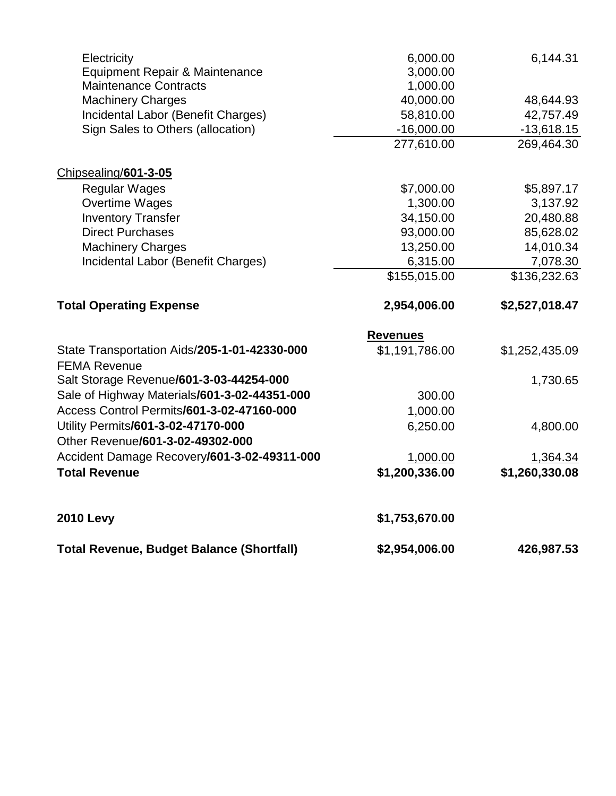| <b>Total Revenue, Budget Balance (Shortfall)</b> | \$2,954,006.00  | 426,987.53     |
|--------------------------------------------------|-----------------|----------------|
| <b>2010 Levy</b>                                 | \$1,753,670.00  |                |
| <b>Total Revenue</b>                             | \$1,200,336.00  | \$1,260,330.08 |
| Accident Damage Recovery/601-3-02-49311-000      | 1,000.00        | 1,364.34       |
| Other Revenue/601-3-02-49302-000                 |                 |                |
| Utility Permits/601-3-02-47170-000               | 6,250.00        | 4,800.00       |
| Access Control Permits/601-3-02-47160-000        | 1,000.00        |                |
| Sale of Highway Materials/601-3-02-44351-000     | 300.00          |                |
| Salt Storage Revenue/601-3-03-44254-000          |                 | 1,730.65       |
| <b>FEMA Revenue</b>                              |                 |                |
| State Transportation Aids/205-1-01-42330-000     | \$1,191,786.00  | \$1,252,435.09 |
|                                                  | <b>Revenues</b> |                |
| <b>Total Operating Expense</b>                   | 2,954,006.00    | \$2,527,018.47 |
|                                                  | \$155,015.00    | \$136,232.63   |
| Incidental Labor (Benefit Charges)               | 6,315.00        | 7,078.30       |
| <b>Machinery Charges</b>                         | 13,250.00       | 14,010.34      |
| <b>Direct Purchases</b>                          | 93,000.00       | 85,628.02      |
| <b>Inventory Transfer</b>                        | 34,150.00       | 20,480.88      |
| <b>Overtime Wages</b>                            | 1,300.00        | 3,137.92       |
| <b>Regular Wages</b>                             | \$7,000.00      | \$5,897.17     |
| Chipsealing/601-3-05                             |                 |                |
|                                                  | 277,610.00      | 269,464.30     |
| Sign Sales to Others (allocation)                | $-16,000.00$    | $-13,618.15$   |
| Incidental Labor (Benefit Charges)               | 58,810.00       | 42,757.49      |
| <b>Machinery Charges</b>                         | 40,000.00       | 48,644.93      |
| <b>Maintenance Contracts</b>                     | 1,000.00        |                |
| Equipment Repair & Maintenance                   | 3,000.00        |                |
| Electricity                                      | 6,000.00        | 6,144.31       |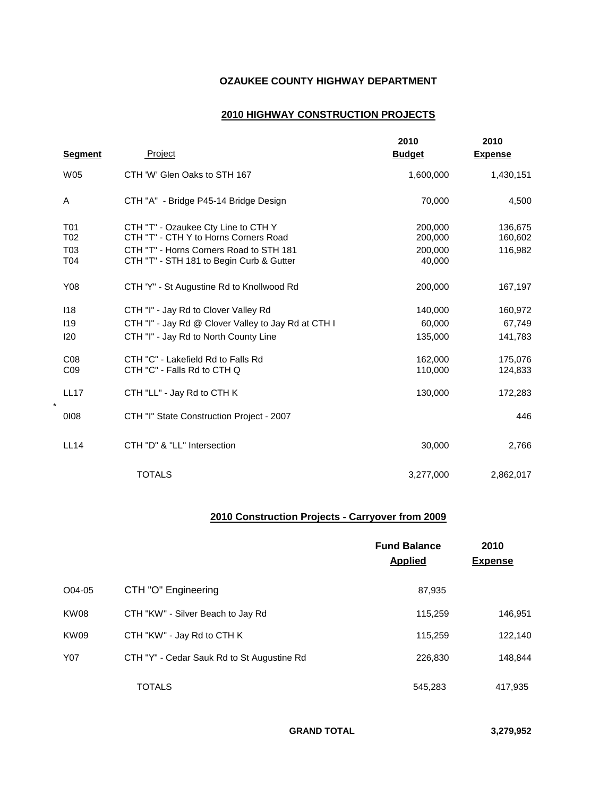#### **OZAUKEE COUNTY HIGHWAY DEPARTMENT**

#### **2010 HIGHWAY CONSTRUCTION PROJECTS**

|                                                   |                                                                                                                                                                     | 2010                                    | 2010                          |
|---------------------------------------------------|---------------------------------------------------------------------------------------------------------------------------------------------------------------------|-----------------------------------------|-------------------------------|
| <b>Segment</b>                                    | Project                                                                                                                                                             | <b>Budget</b>                           | <b>Expense</b>                |
| W05                                               | CTH 'W' Glen Oaks to STH 167                                                                                                                                        | 1,600,000                               | 1,430,151                     |
| Α                                                 | CTH "A" - Bridge P45-14 Bridge Design                                                                                                                               | 70,000                                  | 4,500                         |
| T <sub>0</sub> 1<br>T <sub>02</sub><br>T03<br>T04 | CTH "T" - Ozaukee Cty Line to CTH Y<br>CTH "T" - CTH Y to Horns Corners Road<br>CTH "T" - Horns Corners Road to STH 181<br>CTH "T" - STH 181 to Begin Curb & Gutter | 200,000<br>200,000<br>200.000<br>40,000 | 136,675<br>160,602<br>116,982 |
| Y08                                               | CTH 'Y" - St Augustine Rd to Knollwood Rd                                                                                                                           | 200,000                                 | 167,197                       |
| 118                                               | CTH "I" - Jay Rd to Clover Valley Rd                                                                                                                                | 140,000                                 | 160,972                       |
| 119<br>120                                        | CTH "I" - Jay Rd @ Clover Valley to Jay Rd at CTH I<br>CTH "I" - Jay Rd to North County Line                                                                        | 60.000<br>135,000                       | 67,749<br>141,783             |
| CO8<br>C <sub>09</sub>                            | CTH "C" - Lakefield Rd to Falls Rd<br>CTH "C" - Falls Rd to CTH Q                                                                                                   | 162.000<br>110,000                      | 175,076<br>124,833            |
| <b>LL17</b><br>$\star$                            | CTH "LL" - Jay Rd to CTH K                                                                                                                                          | 130,000                                 | 172,283                       |
| 0108                                              | CTH "I" State Construction Project - 2007                                                                                                                           |                                         | 446                           |
| <b>LL14</b>                                       | CTH "D" & "LL" Intersection                                                                                                                                         | 30,000                                  | 2,766                         |
|                                                   | <b>TOTALS</b>                                                                                                                                                       | 3,277,000                               | 2,862,017                     |

#### **2010 Construction Projects - Carryover from 2009**

|             |                                            | <b>Fund Balance</b><br><b>Applied</b> | 2010<br><b>Expense</b> |
|-------------|--------------------------------------------|---------------------------------------|------------------------|
| O04-05      | CTH "O" Engineering                        | 87,935                                |                        |
| KW08        | CTH "KW" - Silver Beach to Jay Rd          | 115,259                               | 146,951                |
| <b>KW09</b> | CTH "KW" - Jay Rd to CTH K                 | 115,259                               | 122,140                |
| Y07         | CTH "Y" - Cedar Sauk Rd to St Augustine Rd | 226,830                               | 148,844                |
|             | <b>TOTALS</b>                              | 545.283                               | 417,935                |

**GRAND TOTAL 3,279,952**